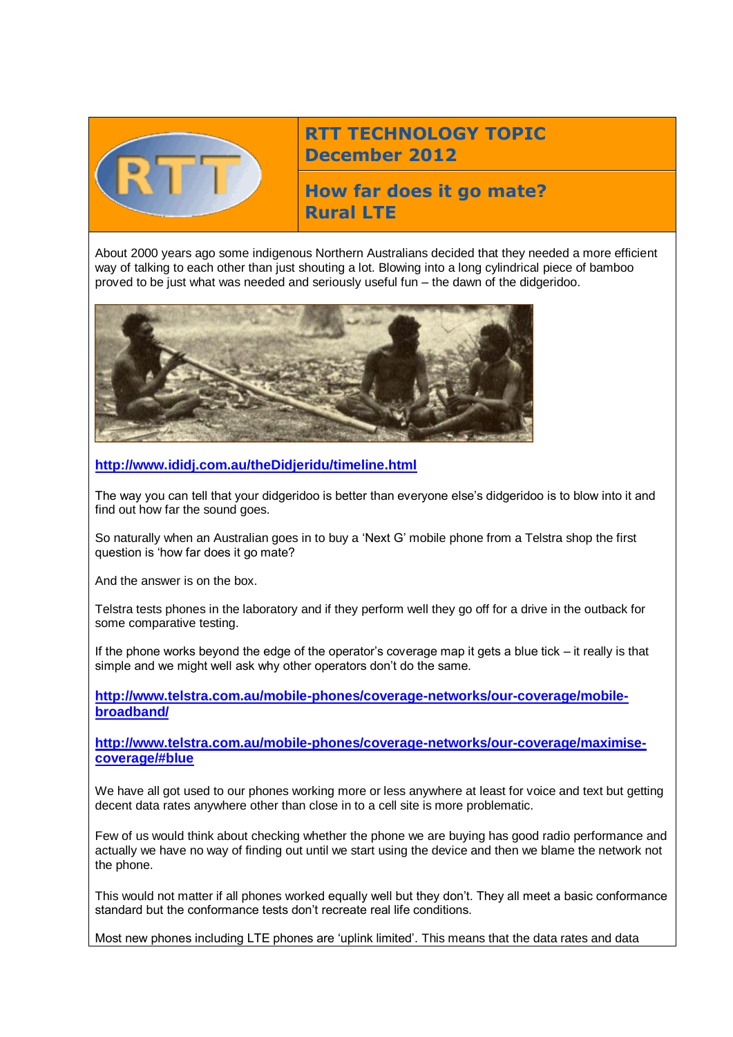

## **RTT TECHNOLOGY TOPIC December 2012**

**How far does it go mate? Rural LTE**

About 2000 years ago some indigenous Northern Australians decided that they needed a more efficient way of talking to each other than just shouting a lot. Blowing into a long cylindrical piece of bamboo proved to be just what was needed and seriously useful fun – the dawn of the didgeridoo.



**<http://www.ididj.com.au/theDidjeridu/timeline.html>**

The way you can tell that your didgeridoo is better than everyone else's didgeridoo is to blow into it and find out how far the sound goes.

So naturally when an Australian goes in to buy a 'Next G' mobile phone from a Telstra shop the first question is 'how far does it go mate?

And the answer is on the box.

Telstra tests phones in the laboratory and if they perform well they go off for a drive in the outback for some comparative testing.

If the phone works beyond the edge of the operator's coverage map it gets a blue tick – it really is that simple and we might well ask why other operators don't do the same.

**[http://www.telstra.com.au/mobile-phones/coverage-networks/our-coverage/mobile](http://www.telstra.com.au/mobile-phones/coverage-networks/our-coverage/mobile-broadband/)[broadband/](http://www.telstra.com.au/mobile-phones/coverage-networks/our-coverage/mobile-broadband/)**

**[http://www.telstra.com.au/mobile-phones/coverage-networks/our-coverage/maximise](http://www.telstra.com.au/mobile-phones/coverage-networks/our-coverage/maximise-coverage/#blue)[coverage/#blue](http://www.telstra.com.au/mobile-phones/coverage-networks/our-coverage/maximise-coverage/#blue)**

We have all got used to our phones working more or less anywhere at least for voice and text but getting decent data rates anywhere other than close in to a cell site is more problematic.

Few of us would think about checking whether the phone we are buying has good radio performance and actually we have no way of finding out until we start using the device and then we blame the network not the phone.

This would not matter if all phones worked equally well but they don't. They all meet a basic conformance standard but the conformance tests don't recreate real life conditions.

Most new phones including LTE phones are 'uplink limited'. This means that the data rates and data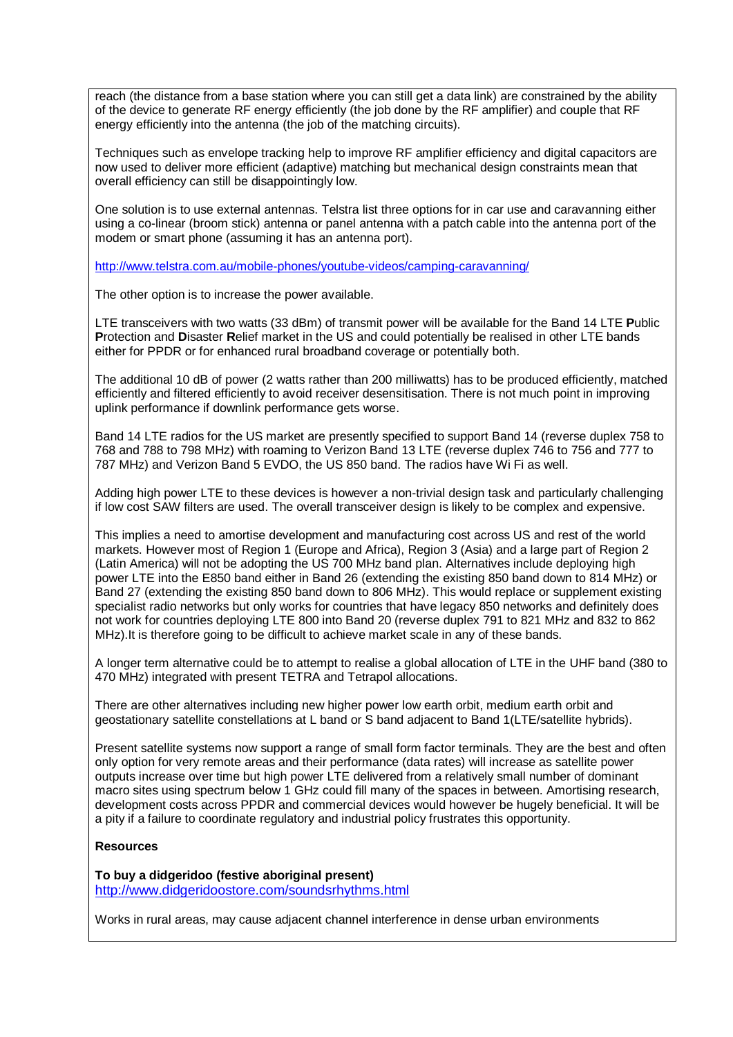reach (the distance from a base station where you can still get a data link) are constrained by the ability of the device to generate RF energy efficiently (the job done by the RF amplifier) and couple that RF energy efficiently into the antenna (the job of the matching circuits).

Techniques such as envelope tracking help to improve RF amplifier efficiency and digital capacitors are now used to deliver more efficient (adaptive) matching but mechanical design constraints mean that overall efficiency can still be disappointingly low.

One solution is to use external antennas. Telstra list three options for in car use and caravanning either using a co-linear (broom stick) antenna or panel antenna with a patch cable into the antenna port of the modem or smart phone (assuming it has an antenna port).

<http://www.telstra.com.au/mobile-phones/youtube-videos/camping-caravanning/>

The other option is to increase the power available.

LTE transceivers with two watts (33 dBm) of transmit power will be available for the Band 14 LTE **P**ublic **P**rotection and **D**isaster **R**elief market in the US and could potentially be realised in other LTE bands either for PPDR or for enhanced rural broadband coverage or potentially both.

The additional 10 dB of power (2 watts rather than 200 milliwatts) has to be produced efficiently, matched efficiently and filtered efficiently to avoid receiver desensitisation. There is not much point in improving uplink performance if downlink performance gets worse.

Band 14 LTE radios for the US market are presently specified to support Band 14 (reverse duplex 758 to 768 and 788 to 798 MHz) with roaming to Verizon Band 13 LTE (reverse duplex 746 to 756 and 777 to 787 MHz) and Verizon Band 5 EVDO, the US 850 band. The radios have Wi Fi as well.

Adding high power LTE to these devices is however a non-trivial design task and particularly challenging if low cost SAW filters are used. The overall transceiver design is likely to be complex and expensive.

This implies a need to amortise development and manufacturing cost across US and rest of the world markets. However most of Region 1 (Europe and Africa), Region 3 (Asia) and a large part of Region 2 (Latin America) will not be adopting the US 700 MHz band plan. Alternatives include deploying high power LTE into the E850 band either in Band 26 (extending the existing 850 band down to 814 MHz) or Band 27 (extending the existing 850 band down to 806 MHz). This would replace or supplement existing specialist radio networks but only works for countries that have legacy 850 networks and definitely does not work for countries deploying LTE 800 into Band 20 (reverse duplex 791 to 821 MHz and 832 to 862 MHz).It is therefore going to be difficult to achieve market scale in any of these bands.

A longer term alternative could be to attempt to realise a global allocation of LTE in the UHF band (380 to 470 MHz) integrated with present TETRA and Tetrapol allocations.

There are other alternatives including new higher power low earth orbit, medium earth orbit and geostationary satellite constellations at L band or S band adjacent to Band 1(LTE/satellite hybrids).

Present satellite systems now support a range of small form factor terminals. They are the best and often only option for very remote areas and their performance (data rates) will increase as satellite power outputs increase over time but high power LTE delivered from a relatively small number of dominant macro sites using spectrum below 1 GHz could fill many of the spaces in between. Amortising research, development costs across PPDR and commercial devices would however be hugely beneficial. It will be a pity if a failure to coordinate regulatory and industrial policy frustrates this opportunity.

## **Resources**

**To buy a didgeridoo (festive aboriginal present)** <http://www.didgeridoostore.com/soundsrhythms.html>

Works in rural areas, may cause adjacent channel interference in dense urban environments